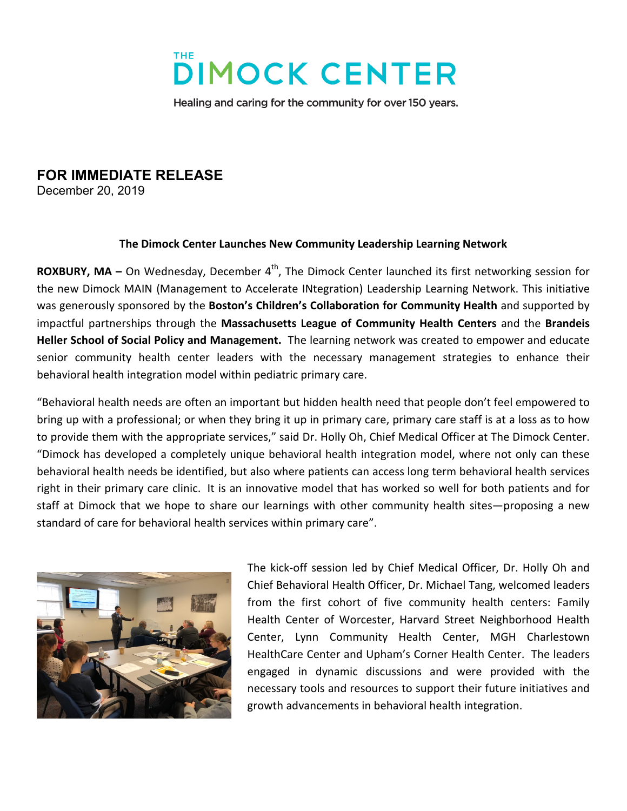

Healing and caring for the community for over 150 years.

## **FOR IMMEDIATE RELEASE**

December 20, 2019

## **The Dimock Center Launches New Community Leadership Learning Network**

**ROXBURY, MA –** On Wednesday, December 4<sup>th</sup>, The Dimock Center launched its first networking session for the new Dimock MAIN (Management to Accelerate INtegration) Leadership Learning Network. This initiative was generously sponsored by the **Boston's Children's Collaboration for Community Health** and supported by impactful partnerships through the **Massachusetts League of Community Health Centers** and the **Brandeis Heller School of Social Policy and Management.** The learning network was created to empower and educate senior community health center leaders with the necessary management strategies to enhance their behavioral health integration model within pediatric primary care.

"Behavioral health needs are often an important but hidden health need that people don't feel empowered to bring up with a professional; or when they bring it up in primary care, primary care staff is at a loss as to how to provide them with the appropriate services," said Dr. Holly Oh, Chief Medical Officer at The Dimock Center. "Dimock has developed a completely unique behavioral health integration model, where not only can these behavioral health needs be identified, but also where patients can access long term behavioral health services right in their primary care clinic. It is an innovative model that has worked so well for both patients and for staff at Dimock that we hope to share our learnings with other community health sites—proposing a new standard of care for behavioral health services within primary care".



The kick-off session led by Chief Medical Officer, Dr. Holly Oh and Chief Behavioral Health Officer, Dr. Michael Tang, welcomed leaders from the first cohort of five community health centers: Family Health Center of Worcester, Harvard Street Neighborhood Health Center, Lynn Community Health Center, MGH Charlestown HealthCare Center and Upham's Corner Health Center. The leaders engaged in dynamic discussions and were provided with the necessary tools and resources to support their future initiatives and growth advancements in behavioral health integration.